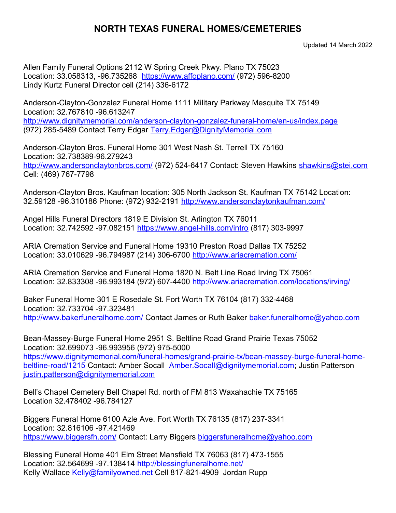## **NORTH TEXAS FUNERAL HOMES/CEMETERIES**

Updated 14 March 2022

Allen Family Funeral Options 2112 W Spring Creek Pkwy. Plano TX 75023 Location: 33.058313, -96.735268 <https://www.affoplano.com/> (972) 596-8200 Lindy Kurtz Funeral Director cell (214) 336-6172

Anderson-Clayton-Gonzalez Funeral Home 1111 Military Parkway Mesquite TX 75149 Location: 32.767810 -96.613247 <http://www.dignitymemorial.com/anderson-clayton-gonzalez-funeral-home/en-us/index.page> (972) 285-5489 Contact Terry Edgar [Terry.Edgar@DignityMemorial.com](mailto:Terry.Edgar@DignityMemorial.com)

Anderson-Clayton Bros. Funeral Home 301 West Nash St. Terrell TX 75160 Location: 32.738389-96.279243 <http://www.andersonclaytonbros.com/> (972) 524-6417 Contact: Steven Hawkins [shawkins@stei.com](mailto:shawkins@stei.com) Cell: (469) 767-7798

Anderson-Clayton Bros. Kaufman location: 305 North Jackson St. Kaufman TX 75142 Location: 32.59128 -96.310186 Phone: (972) 932-2191 <http://www.andersonclaytonkaufman.com/>

Angel Hills Funeral Directors 1819 E Division St. Arlington TX 76011 Location: 32.742592 -97.082151<https://www.angel-hills.com/intro> (817) 303-9997

ARIA Cremation Service and Funeral Home 19310 Preston Road Dallas TX 75252 Location: 33.010629 -96.794987 (214) 306-6700 <http://www.ariacremation.com/>

ARIA Cremation Service and Funeral Home 1820 N. Belt Line Road Irving TX 75061 Location: 32.833308 -96.993184 (972) 607-4400 <http://www.ariacremation.com/locations/irving/>

Baker Funeral Home 301 E Rosedale St. Fort Worth TX 76104 (817) 332-4468 Location: 32.733704 -97.323481 [http://www.bakerfuneralhome.com/](http://www.historicbakerfuneralhome.com/) Contact James or Ruth Baker [baker.funeralhome@yahoo.com](mailto:baker.funeralhome@yahoo.com)

Bean-Massey-Burge Funeral Home 2951 S. Beltline Road Grand Prairie Texas 75052 Location: 32.699073 -96.993956 (972) 975-5000 [https://www.dignitymemorial.com/funeral-homes/grand-prairie-tx/bean-massey-burge-funeral-home](https://www.dignitymemorial.com/funeral-homes/grand-prairie-tx/bean-massey-burge-funeral-home-beltline-road/1215)[beltline-road/1215](https://www.dignitymemorial.com/funeral-homes/grand-prairie-tx/bean-massey-burge-funeral-home-beltline-road/1215) Contact: Amber Socall [Amber.Socall@dignitymemorial.com](mailto:Amber.Socall@dignitymemorial.com); Justin Patterson [justin.patterson@dignitymemorial.com](mailto:justin.patterson@dignitymemorial.com)

Bell's Chapel Cemetery Bell Chapel Rd. north of FM 813 Waxahachie TX 75165 Location 32.478402 -96.784127

Biggers Funeral Home 6100 Azle Ave. Fort Worth TX 76135 (817) 237-3341 Location: 32.816106 -97.421469 <https://www.biggersfh.com/> Contact: Larry Biggers [biggersfuneralhome@yahoo.com](mailto:biggersfuneralhome@yahoo.com)

Blessing Funeral Home 401 Elm Street Mansfield TX 76063 (817) 473-1555 Location: 32.564699 -97.138414<http://blessingfuneralhome.net/> Kelly Wallace [Kelly@familyowned.net](mailto:Kelly@familyowned.net) Cell 817-821-4909 Jordan Rupp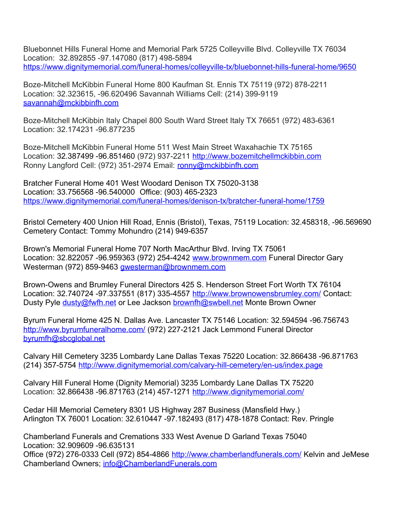Bluebonnet Hills Funeral Home and Memorial Park 5725 Colleyville Blvd. Colleyville TX 76034 Location: 32.892855 -97.147080 (817) 498-5894 <https://www.dignitymemorial.com/funeral-homes/colleyville-tx/bluebonnet-hills-funeral-home/9650>

Boze-Mitchell McKibbin Funeral Home 800 Kaufman St. Ennis TX 75119 (972) 878-2211 Location: 32.323615, -96.620496 Savannah Williams Cell: (214) 399-9119 [savannah@mckibbinfh.com](mailto:savannah@mckibbinfh.com)

Boze-Mitchell McKibbin Italy Chapel 800 South Ward Street Italy TX 76651 (972) 483-6361 Location: 32.174231 -96.877235

Boze-Mitchell McKibbin Funeral Home 511 West Main Street Waxahachie TX 75165 Location: 32.387499 -96.851460 (972) 937-2211 http://www.bozemitchellmckibbin.com Ronny Langford Cell: (972) 351-2974 Email: [ronny@mckibbinfh.com](mailto:ronny@mckibbinfh.com)

Bratcher Funeral Home 401 West Woodard Denison TX 75020-3138 Location: 33.756568 -96.540000 Office: (903) 465-2323 <https://www.dignitymemorial.com/funeral-homes/denison-tx/bratcher-funeral-home/1759>

Bristol Cemetery 400 Union Hill Road, Ennis (Bristol), Texas, 75119 Location: 32.458318, -96.569690 Cemetery Contact: Tommy Mohundro (214) 949-6357

Brown's Memorial Funeral Home 707 North MacArthur Blvd. Irving TX 75061 Location: 32.822057 -96.959363 (972) 254-4242 [www.brownmem.com](http://www.brownmem.com/) Funeral Director Gary Westerman (972) 859-9463 [gwesterman@brownmem.com](mailto:gwesterman@brownmem.com)

Brown-Owens and Brumley Funeral Directors 425 S. Henderson Street Fort Worth TX 76104 Location: 32.740724 -97.337551 (817) 335-4557 <http://www.brownowensbrumley.com/> Contact: Dusty Pyle [dusty@fwfh.net](mailto:dusty@fwfh.net) or Lee Jackson [brownfh@swbell.net](mailto:brownfh@swbell.net) Monte Brown Owner

Byrum Funeral Home 425 N. Dallas Ave. Lancaster TX 75146 Location: 32.594594 -96.756743 <http://www.byrumfuneralhome.com/>(972) 227-2121 Jack Lemmond Funeral Director [byrumfh@sbcglobal.net](mailto:byrumfh@sbcglobal.net)

Calvary Hill Cemetery 3235 Lombardy Lane Dallas Texas 75220 Location: 32.866438 -96.871763 (214) 357-5754<http://www.dignitymemorial.com/calvary-hill-cemetery/en-us/index.page>

Calvary Hill Funeral Home (Dignity Memorial) 3235 Lombardy Lane Dallas TX 75220 Location: 32.866438 -96.871763 (214) 457-1271 <http://www.dignitymemorial.com/>

Cedar Hill Memorial Cemetery 8301 US Highway 287 Business (Mansfield Hwy.) Arlington TX 76001 Location: 32.610447 -97.182493 (817) 478-1878 Contact: Rev. Pringle

Chamberland Funerals and Cremations 333 West Avenue D Garland Texas 75040 Location: 32.909609 -96.635131 Office (972) 276-0333 Cell (972) 854-4866<http://www.chamberlandfunerals.com/> Kelvin and JeMese Chamberland Owners; [info@ChamberlandFunerals.com](mailto:info@ChamberlandFunerals.com)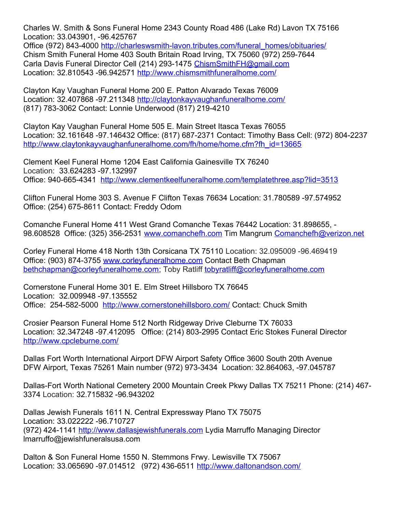Charles W. Smith & Sons Funeral Home 2343 County Road 486 (Lake Rd) Lavon TX 75166 Location: 33.043901, -96.425767

Office (972) 843-4000 [http://charleswsmith-lavon.tributes.com/funeral\\_homes/obituaries/](http://charleswsmith-lavon.tributes.com/funeral_homes/obituaries/) Chism Smith Funeral Home 403 South Britain Road Irving, TX 75060 (972) 259-7644 Carla Davis Funeral Director Cell (214) 293-1475 [ChismSmithFH@gmail.com](mailto:ChismSmithFH@gmail.com) Location: 32.810543 -96.942571<http://www.chismsmithfuneralhome.com/>

Clayton Kay Vaughan Funeral Home 200 E. Patton Alvarado Texas 76009 Location: 32.407868 -97.211348<http://claytonkayvaughanfuneralhome.com/> (817) 783-3062 Contact: Lonnie Underwood (817) 219-4210

Clayton Kay Vaughan Funeral Home 505 E. Main Street Itasca Texas 76055 Location: 32.161648 -97.146432 Office: (817) 687-2371 Contact: Timothy Bass Cell: (972) 804-2237 [http://www.claytonkayvaughanfuneralhome.com/fh/home/home.cfm?fh\\_id=13665](http://www.claytonkayvaughanfuneralhome.com/fh/home/home.cfm?fh_id=13665)

Clement Keel Funeral Home 1204 East California Gainesville TX 76240 Location: 33.624283 -97.132997 Office: 940-665-4341 <http://www.clementkeelfuneralhome.com/templatethree.asp?lid=3513>

Clifton Funeral Home 303 S. Avenue F Clifton Texas 76634 Location: 31.780589 -97.574952 Office: (254) 675-8611 Contact: Freddy Odom

Comanche Funeral Home 411 West Grand Comanche Texas 76442 Location: 31.898655, - 98.608528 Office: (325) 356-2531 [www.comanchefh.com](http://www.comanchefh.com/) Tim Mangrum [Comanchefh@verizon.net](mailto:Comanchefh@verizon.net)

Corley Funeral Home 418 North 13th Corsicana TX 75110 Location: 32.095009 -96.469419 Office: (903) 874-3755 [www.corleyfuneralhome.com](http://www.corleyfuneralhome.com/) Contact Beth Chapman [bethchapman@corleyfuneralhome.com;](mailto:bethchapman@corleyfuneralhome.com) Toby Ratliff [tobyratliff@corleyfuneralhome.com](mailto:tobyratliff@corleyfuneralhome.com)

Cornerstone Funeral Home 301 E. Elm Street Hillsboro TX 76645 Location: 32.009948 -97.135552 Office: 254-582-5000 <http://www.cornerstonehillsboro.com/>Contact: Chuck Smith

Crosier Pearson Funeral Home 512 North Ridgeway Drive Cleburne TX 76033 Location: 32.347248 -97.412095 Office: (214) 803-2995 Contact Eric Stokes Funeral Director <http://www.cpcleburne.com/>

Dallas Fort Worth International Airport DFW Airport Safety Office 3600 South 20th Avenue DFW Airport, Texas 75261 Main number (972) 973-3434 Location: 32.864063, -97.045787

Dallas-Fort Worth National Cemetery 2000 Mountain Creek Pkwy Dallas TX 75211 Phone: (214) 467- 3374 Location: 32.715832 -96.943202

Dallas Jewish Funerals 1611 N. Central Expressway Plano TX 75075 Location: 33.022222 -96.710727 (972) 424-1141 [http://www.dallasjewishfunerals.com](http://www.dallasjewishfunerals.com/) Lydia Marruffo Managing Director lmarruffo@jewishfuneralsusa.com

Dalton & Son Funeral Home 1550 N. Stemmons Frwy. Lewisville TX 75067 Location: 33.065690 -97.014512 (972) 436-6511 <http://www.daltonandson.com/>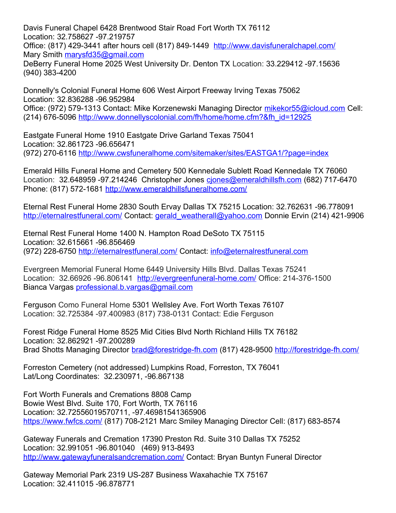Davis Funeral Chapel 6428 Brentwood Stair Road Fort Worth TX 76112 Location: 32.758627 -97.219757 Office: (817) 429-3441 after hours cell (817) 849-1449 <http://www.davisfuneralchapel.com/> Mary Smith [marysfd35@gmail.com](mailto:marysfd35@gmail.com)

DeBerry Funeral Home 2025 West University Dr. Denton TX Location: 33.229412 -97.15636 (940) 383-4200

Donnelly's Colonial Funeral Home 606 West Airport Freeway Irving Texas 75062 Location: 32.836288 -96.952984 Office: (972) 579-1313 Contact: Mike Korzenewski Managing Director [mikekor55@icloud.com](mailto:mikekor55@icloud.com) Cell: (214) 676-5096 [http://www.donnellyscolonial.com/fh/home/home.cfm?&fh\\_id=12925](http://www.donnellyscolonial.com/fh/home/home.cfm?&fh_id=12925)

Eastgate Funeral Home 1910 Eastgate Drive Garland Texas 75041 Location: 32.861723 -96.656471 (972) 270-6116<http://www.cwsfuneralhome.com/sitemaker/sites/EASTGA1/?page=index>

Emerald Hills Funeral Home and Cemetery 500 Kennedale Sublett Road Kennedale TX 76060 Location: 32.648959 -97.214246 Christopher Jones ciones@emeraldhillsfh.com (682) 717-6470 Phone: (817) 572-1681 <http://www.emeraldhillsfuneralhome.com/>

Eternal Rest Funeral Home 2830 South Ervay Dallas TX 75215 Location: 32.762631 -96.778091 <http://eternalrestfuneral.com/>Contact: gerald weatherall@yahoo.com Donnie Ervin (214) 421-9906

Eternal Rest Funeral Home 1400 N. Hampton Road DeSoto TX 75115 Location: 32.615661 -96.856469 (972) 228-6750<http://eternalrestfuneral.com/> Contact: [info@eternalrestfuneral.com](mailto:info@eternalrestfuneral.com)

Evergreen Memorial Funeral Home 6449 University Hills Blvd. Dallas Texas 75241 Location: 32.66926 -96.806141 <http://evergreenfuneral-home.com/> Office: 214-376-1500 Bianca Vargas [professional.b.vargas@gmail.com](mailto:professional.b.vargas@gmail.com)

Ferguson Como Funeral Home 5301 Wellsley Ave. Fort Worth Texas 76107 Location: 32.725384 -97.400983 (817) 738-0131 Contact: Edie Ferguson

Forest Ridge Funeral Home 8525 Mid Cities Blvd North Richland Hills TX 76182 Location: 32.862921 -97.200289 Brad Shotts Managing Director [brad@forestridge-fh.com](mailto:brad@forestridge-fh.com) (817) 428-9500<http://forestridge-fh.com/>

Forreston Cemetery (not addressed) Lumpkins Road, Forreston, TX 76041 Lat/Long Coordinates: 32.230971, -96.867138

Fort Worth Funerals and Cremations 8808 Camp Bowie West Blvd. Suite 170, Fort Worth, TX 76116 Location: 32.72556019570711, -97.46981541365906 <https://www.fwfcs.com/> (817) 708-2121 Marc Smiley Managing Director Cell: (817) 683-8574

Gateway Funerals and Cremation 17390 Preston Rd. Suite 310 Dallas TX 75252 Location: 32.991051 -96.801040 (469) 913-8493 <http://www.gatewayfuneralsandcremation.com/>Contact: Bryan Buntyn Funeral Director

Gateway Memorial Park 2319 US-287 Business Waxahachie TX 75167 Location: 32.411015 -96.878771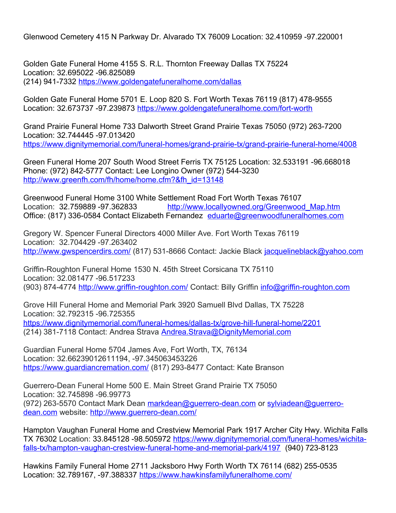Glenwood Cemetery 415 N Parkway Dr. Alvarado TX 76009 Location: 32.410959 -97.220001

Golden Gate Funeral Home 4155 S. R.L. Thornton Freeway Dallas TX 75224 Location: 32.695022 -96.825089 (214) 941-7332<https://www.goldengatefuneralhome.com/dallas>

Golden Gate Funeral Home 5701 E. Loop 820 S. Fort Worth Texas 76119 (817) 478-9555 Location: 32.673737 -97.239873<https://www.goldengatefuneralhome.com/fort-worth>

Grand Prairie Funeral Home 733 Dalworth Street Grand Prairie Texas 75050 (972) 263-7200 Location: 32.744445 -97.013420 <https://www.dignitymemorial.com/funeral-homes/grand-prairie-tx/grand-prairie-funeral-home/4008>

Green Funeral Home 207 South Wood Street Ferris TX 75125 Location: 32.533191 -96.668018 Phone: (972) 842-5777 Contact: Lee Longino Owner (972) 544-3230 [http://www.greenfh.com/fh/home/home.cfm?&fh\\_id=13148](http://www.greenfh.com/fh/home/home.cfm?&fh_id=13148)

Greenwood Funeral Home 3100 White Settlement Road Fort Worth Texas 76107 Location: 32.759889 -97.362833 http://www.locallyowned.org/Greenwood Map.htm Office: (817) 336-0584 Contact Elizabeth Fernandez [eduarte@greenwoodfuneralhomes.com](mailto:eduarte@greenwoodfuneralhomes.com)

Gregory W. Spencer Funeral Directors 4000 Miller Ave. Fort Worth Texas 76119 Location: 32.704429 -97.263402 <http://www.gwspencerdirs.com/> (817) 531-8666 Contact: Jackie Black [jacquelineblack@yahoo.com](mailto:jacquelineblack@yahoo.com)

Griffin-Roughton Funeral Home 1530 N. 45th Street Corsicana TX 75110 Location: 32.081477 -96.517233 (903) 874-4774<http://www.griffin-roughton.com/> Contact: Billy Griffin [info@griffin-roughton.com](mailto:info@griffin-roughton.com)

Grove Hill Funeral Home and Memorial Park 3920 Samuell Blvd Dallas, TX 75228 Location: 32.792315 -96.725355 <https://www.dignitymemorial.com/funeral-homes/dallas-tx/grove-hill-funeral-home/2201> (214) 381-7118 Contact: Andrea Strava [Andrea.Strava@DignityMemorial.com](mailto:Andrea.Strava@DignityMemorial.com)

Guardian Funeral Home 5704 James Ave, Fort Worth, TX, 76134 Location: 32.66239012611194, -97.345063453226 <https://www.guardiancremation.com/> (817) 293-8477 Contact: Kate Branson

Guerrero-Dean Funeral Home 500 E. Main Street Grand Prairie TX 75050 Location: 32.745898 -96.99773 (972) 263-5570 Contact Mark Dean [markdean@guerrero-dean.com](mailto:markdean@guerrero-dean.com) or [sylviadean@guerrero](mailto:sylviadean@guerrero-dean.com)[dean.com](mailto:sylviadean@guerrero-dean.com) website:<http://www.guerrero-dean.com/>

Hampton Vaughan Funeral Home and Crestview Memorial Park 1917 Archer City Hwy. Wichita Falls TX 76302 Location: 33.845128 -98.505972 [https://www.dignitymemorial.com/funeral-homes/wichita](https://www.dignitymemorial.com/funeral-homes/wichita-falls-tx/hampton-vaughan-crestview-funeral-home-and-memorial-park/4197)[falls-tx/hampton-vaughan-crestview-funeral-home-and-memorial-park/4197](https://www.dignitymemorial.com/funeral-homes/wichita-falls-tx/hampton-vaughan-crestview-funeral-home-and-memorial-park/4197) (940) 723-8123

Hawkins Family Funeral Home 2711 Jacksboro Hwy Forth Worth TX 76114 (682) 255-0535 Location: 32.789167, -97.388337<https://www.hawkinsfamilyfuneralhome.com/>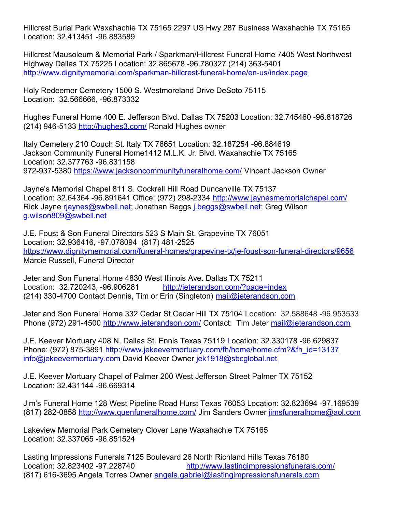Hillcrest Burial Park Waxahachie TX 75165 2297 US Hwy 287 Business Waxahachie TX 75165 Location: 32.413451 -96.883589

Hillcrest Mausoleum & Memorial Park / Sparkman/Hillcrest Funeral Home 7405 West Northwest Highway Dallas TX 75225 Location: 32.865678 -96.780327 (214) 363-5401 <http://www.dignitymemorial.com/sparkman-hillcrest-funeral-home/en-us/index.page>

Holy Redeemer Cemetery 1500 S. Westmoreland Drive DeSoto 75115 Location: 32.566666, -96.873332

Hughes Funeral Home 400 E. Jefferson Blvd. Dallas TX 75203 Location: 32.745460 -96.818726 (214) 946-5133<http://hughes3.com/>Ronald Hughes owner

Italy Cemetery 210 Couch St. Italy TX 76651 Location: 32.187254 -96.884619 Jackson Community Funeral Home1412 M.L.K. Jr. Blvd. Waxahachie TX 75165 Location: 32.377763 -96.831158 972-937-5380<https://www.jacksoncommunityfuneralhome.com/> Vincent Jackson Owner

Jayne's Memorial Chapel 811 S. Cockrell Hill Road Duncanville TX 75137 Location: 32.64364 -96.891641 Office: (972) 298-2334 <http://www.jaynesmemorialchapel.com/> Rick Jayne [rjaynes@swbell.net](mailto:rjaynes@swbell.net); Jonathan Beggs [j.beggs@swbell.net](mailto:j.beggs@swbell.net); Greg Wilson [g.wilson809@swbell.net](mailto:g.wilson809@swbell.net)

J.E. Foust & Son Funeral Directors 523 S Main St. Grapevine TX 76051 Location: 32.936416, -97.078094 (817) 481-2525 <https://www.dignitymemorial.com/funeral-homes/grapevine-tx/je-foust-son-funeral-directors/9656> Marcie Russell, Funeral Director

Jeter and Son Funeral Home 4830 West Illinois Ave. Dallas TX 75211 Location: 32.720243, -96.906281 <http://jeterandson.com/?page=index> (214) 330-4700 Contact Dennis, Tim or Erin (Singleton) [mail@jeterandson.com](mailto:mail@jeterandson.com) 

Jeter and Son Funeral Home 332 Cedar St Cedar Hill TX 75104 Location: 32.588648 -96.953533 Phone (972) 291-4500<http://www.jeterandson.com/> Contact: Tim Jeter [mail@jeterandson.com](mailto:mail@jeterandson.com)

J.E. Keever Mortuary 408 N. Dallas St. Ennis Texas 75119 Location: 32.330178 -96.629837 Phone: (972) 875-3891 [http://www.jekeevermortuary.com/fh/home/home.cfm?&fh\\_id=13137](http://www.jekeevermortuary.com/fh/home/home.cfm?&fh_id=13137) [info@jekeevermortuary.com](mailto:info@jekeevermortuary.com) David Keever Owner [jek1918@sbcglobal.net](mailto:jek1918@sbcglobal.net)

J.E. Keever Mortuary Chapel of Palmer 200 West Jefferson Street Palmer TX 75152 Location: 32.431144 -96.669314

Jim's Funeral Home 128 West Pipeline Road Hurst Texas 76053 Location: 32.823694 -97.169539 (817) 282-0858<http://www.quenfuneralhome.com/>Jim Sanders Owner [jimsfuneralhome@aol.com](mailto:jimsfuneralhome@aol.com)

Lakeview Memorial Park Cemetery Clover Lane Waxahachie TX 75165 Location: 32.337065 -96.851524

Lasting Impressions Funerals 7125 Boulevard 26 North Richland Hills Texas 76180 Location: 32.823402 -97.228740 <http://www.lastingimpressionsfunerals.com/> (817) 616-3695 Angela Torres Owner [angela.gabriel@lastingimpressionsfunerals.com](mailto:angela.gabriel@lastingimpressionsfunerals.com)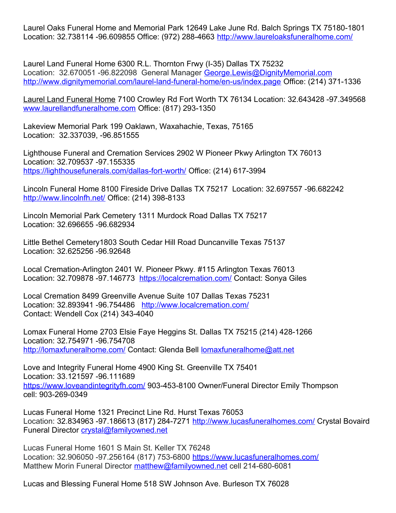Laurel Oaks Funeral Home and Memorial Park 12649 Lake June Rd. Balch Springs TX 75180-1801 Location: 32.738114 -96.609855 Office: (972) 288-4663 <http://www.laureloaksfuneralhome.com/>

Laurel Land Funeral Home 6300 R.L. Thornton Frwy (I-35) Dallas TX 75232 Location: 32.670051 -96.822098 General Manager [George.Lewis@DignityMemorial.com](mailto:George.Lewis@DignityMemorial.com) <http://www.dignitymemorial.com/laurel-land-funeral-home/en-us/index.page> Office: (214) 371-1336

[Laurel Land Funeral Home](http://www.laurellandfuneralhome.com/) 7100 Crowley Rd Fort Worth TX 76134 Location: 32.643428 -97.349568 [www.laurellandfuneralhome.com](http://www.laurellandfuneralhome.com/) Office: (817) 293-1350

Lakeview Memorial Park 199 Oaklawn, Waxahachie, Texas, 75165 Location: 32.337039, -96.851555

Lighthouse Funeral and Cremation Services 2902 W Pioneer Pkwy Arlington TX 76013 Location: 32.709537 -97.155335 <https://lighthousefunerals.com/dallas-fort-worth/> Office: (214) 617-3994

Lincoln Funeral Home 8100 Fireside Drive Dallas TX 75217 Location: 32.697557 -96.682242 <http://www.lincolnfh.net/>Office: (214) 398-8133

Lincoln Memorial Park Cemetery 1311 Murdock Road Dallas TX 75217 Location: 32.696655 -96.682934

Little Bethel Cemetery1803 South Cedar Hill Road Duncanville Texas 75137 Location: 32.625256 -96.92648

Local Cremation-Arlington 2401 W. Pioneer Pkwy. #115 Arlington Texas 76013 Location: 32.709878 -97.146773 <https://localcremation.com/> Contact: Sonya Giles

Local Cremation 8499 Greenville Avenue Suite 107 Dallas Texas 75231 Location: 32.893941 -96.754486 <http://www.localcremation.com/> Contact: Wendell Cox (214) 343-4040

Lomax Funeral Home 2703 Elsie Faye Heggins St. Dallas TX 75215 (214) 428-1266 Location: 32.754971 -96.754708 <http://lomaxfuneralhome.com/> Contact: Glenda Bell [lomaxfuneralhome@att.net](mailto:lomaxfuneralhome@att.net)

Love and Integrity Funeral Home 4900 King St. Greenville TX 75401 Location: 33.121597 -96.111689 <https://www.loveandintegrityfh.com/>903-453-8100 Owner/Funeral Director Emily Thompson cell: 903-269-0349

Lucas Funeral Home 1321 Precinct Line Rd. Hurst Texas 76053 Location: 32.834963 -97.186613 (817) 284-7271 <http://www.lucasfuneralhomes.com/> Crystal Bovaird Funeral Director [crystal@familyowned.net](mailto:crystal@familyowned.net)

Lucas Funeral Home 1601 S Main St. Keller TX 76248 Location: 32.906050 -97.256164 (817) 753-6800 <https://www.lucasfuneralhomes.com/> Matthew Morin Funeral Director [matthew@familyowned.net](mailto:matthew@familyowned.net) cell 214-680-6081

Lucas and Blessing Funeral Home 518 SW Johnson Ave. Burleson TX 76028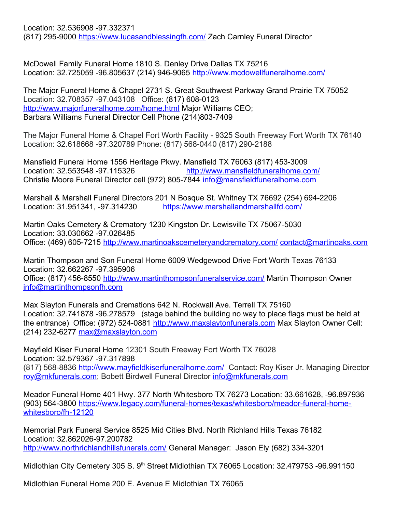Location: 32.536908 -97.332371 (817) 295-9000<https://www.lucasandblessingfh.com/> Zach Carnley Funeral Director

McDowell Family Funeral Home 1810 S. Denley Drive Dallas TX 75216 Location: 32.725059 -96.805637 (214) 946-9065 <http://www.mcdowellfuneralhome.com/>

The Major Funeral Home & Chapel 2731 S. Great Southwest Parkway Grand Prairie TX 75052 Location: 32.708357 -97.043108 Office: (817) 608-0123 <http://www.majorfuneralhome.com/home.html>Major Williams CEO; Barbara Williams Funeral Director Cell Phone (214)803-7409

The Major Funeral Home & Chapel Fort Worth Facility - 9325 South Freeway Fort Worth TX 76140 Location: 32.618668 -97.320789 Phone: (817) 568-0440 (817) 290-2188

Mansfield Funeral Home 1556 Heritage Pkwy. Mansfield TX 76063 (817) 453-3009 Location: 32.553548 -97.115326 <http://www.mansfieldfuneralhome.com/> Christie Moore Funeral Director cell (972) 805-7844 [info@mansfieldfuneralhome.com](mailto:info@mansfieldfuneralhome.com)

Marshall & Marshall Funeral Directors 201 N Bosque St. Whitney TX 76692 (254) 694-2206 Location: 31.951341, -97.314230 <https://www.marshallandmarshallfd.com/>

Martin Oaks Cemetery & Crematory 1230 Kingston Dr. Lewisville TX 75067-5030 Location: 33.030662 -97.026485 Office: (469) 605-7215<http://www.martinoakscemeteryandcrematory.com/>[contact@martinoaks.com](mailto:contact@martinoaks.com)

Martin Thompson and Son Funeral Home 6009 Wedgewood Drive Fort Worth Texas 76133 Location: 32.662267 -97.395906 Office: (817) 456-8550<http://www.martinthompsonfuneralservice.com/> Martin Thompson Owner [info@martinthompsonfh.com](mailto:info@martinthompsonfh.com)

Max Slayton Funerals and Cremations 642 N. Rockwall Ave. Terrell TX 75160 Location: 32.741878 -96.278579 (stage behind the building no way to place flags must be held at the entrance) Office: (972) 524-0881 [http://www.maxslaytonfunerals.com](http://www.maxslaytonfunerals.com/) Max Slayton Owner Cell: (214) 232-6277 [max@maxslayton.com](mailto:max@maxslayton.com)

Mayfield Kiser Funeral Home 12301 South Freeway Fort Worth TX 76028 Location: 32.579367 -97.317898 (817) 568-8836<http://www.mayfieldkiserfuneralhome.com/> Contact: Roy Kiser Jr. Managing Director [roy@mkfunerals.com;](mailto:roy@mkfunerals.com) Bobett Birdwell Funeral Director [info@mkfunerals.com](mailto:info@mkfunerals.com)

Meador Funeral Home 401 Hwy. 377 North Whitesboro TX 76273 Location: 33.661628, -96.897936 (903) 564-3800 [https://www.legacy.com/funeral-homes/texas/whitesboro/meador-funeral-home](https://www.legacy.com/funeral-homes/texas/whitesboro/meador-funeral-home-whitesboro/fh-12120)[whitesboro/fh-12120](https://www.legacy.com/funeral-homes/texas/whitesboro/meador-funeral-home-whitesboro/fh-12120)

Memorial Park Funeral Service 8525 Mid Cities Blvd. North Richland Hills Texas 76182 Location: 32.862026-97.200782 <http://www.northrichlandhillsfunerals.com/>General Manager: Jason Ely (682) 334-3201

Midlothian City Cemetery 305 S. 9<sup>th</sup> Street Midlothian TX 76065 Location: 32.479753 -96.991150

Midlothian Funeral Home 200 E. Avenue E Midlothian TX 76065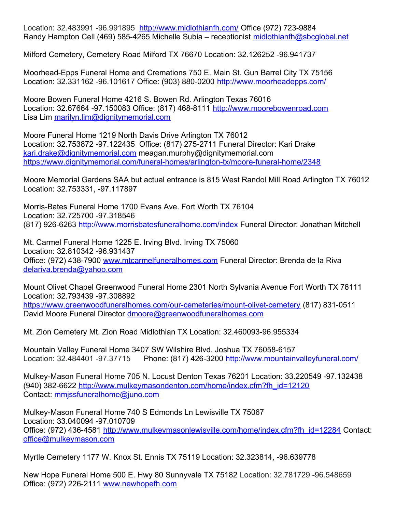Location: 32.483991 -96.991895 <http://www.midlothianfh.com/> Office (972) 723-9884 Randy Hampton Cell (469) 585-4265 Michelle Subia – receptionist [midlothianfh@sbcglobal.net](mailto:midlothianfh@sbcglobal.net)

Milford Cemetery, Cemetery Road Milford TX 76670 Location: 32.126252 -96.941737

Moorhead-Epps Funeral Home and Cremations 750 E. Main St. Gun Barrel City TX 75156 Location: 32.331162 -96.101617 Office: (903) 880-0200 <http://www.moorheadepps.com/>

Moore Bowen Funeral Home 4216 S. Bowen Rd. Arlington Texas 76016 Location: 32.67664 -97.150083 Office: (817) 468-8111 [http://www.moorebowenroad.com](http://www.moorebowenroad.com/) Lisa Lim [marilyn.lim@dignitymemorial.com](mailto:marilyn.lim@dignitymemorial.com)

Moore Funeral Home 1219 North Davis Drive Arlington TX 76012 Location: 32.753872 -97.122435 Office: (817) 275-2711 Funeral Director: Kari Drake [kari.drake@dignitymemorial.com](mailto:kari.drake@dignitymemorial.com) meagan.murphy@dignitymemorial.com <https://www.dignitymemorial.com/funeral-homes/arlington-tx/moore-funeral-home/2348>

Moore Memorial Gardens SAA but actual entrance is 815 West Randol Mill Road Arlington TX 76012 Location: 32.753331, -97.117897

Morris-Bates Funeral Home 1700 Evans Ave. Fort Worth TX 76104 Location: 32.725700 -97.318546 (817) 926-6263<http://www.morrisbatesfuneralhome.com/index> Funeral Director: Jonathan Mitchell

Mt. Carmel Funeral Home 1225 E. Irving Blvd. Irving TX 75060 Location: 32.810342 -96.931437 Office: (972) 438-7900 [www.mtcarmelfuneralhomes.com](http://www.mtcarmelfuneralhomes.com/) Funeral Director: Brenda de la Riva [delariva.brenda@yahoo.com](mailto:delariva.brenda@yahoo.com)

Mount Olivet Chapel Greenwood Funeral Home 2301 North Sylvania Avenue Fort Worth TX 76111 Location: 32.793439 -97.308892 <https://www.greenwoodfuneralhomes.com/our-cemeteries/mount-olivet-cemetery> (817) 831-0511 David Moore Funeral Director [dmoore@greenwoodfuneralhomes.com](mailto:dmoore@greenwoodfuneralhomes.com)

Mt. Zion Cemetery Mt. Zion Road Midlothian TX Location: 32.460093-96.955334

Mountain Valley Funeral Home 3407 SW Wilshire Blvd. Joshua TX 76058-6157 Location: 32.484401 -97.37715 Phone: (817) 426-3200 <http://www.mountainvalleyfuneral.com/>

Mulkey-Mason Funeral Home 705 N. Locust Denton Texas 76201 Location: 33.220549 -97.132438 (940) 382-6622 [http://www.mulkeymasondenton.com/home/index.cfm?fh\\_id=12120](http://www.mulkeymasondenton.com/home/index.cfm?fh_id=12120) Contact: [mmjssfuneralhome@juno.com](mailto:mmjssfuneralhome@juno.com)

Mulkey-Mason Funeral Home 740 S Edmonds Ln Lewisville TX 75067 Location: 33.040094 -97.010709 Office: (972) 436-4581 [http://www.mulkeymasonlewisville.com/home/index.cfm?fh\\_id=12284](http://www.mulkeymasonlewisville.com/home/index.cfm?fh_id=12284) Contact: [office@mulkeymason.com](mailto:office@mulkeymason.com)

Myrtle Cemetery 1177 W. Knox St. Ennis TX 75119 Location: 32.323814, -96.639778

New Hope Funeral Home 500 E. Hwy 80 Sunnyvale TX 75182 Location: 32.781729 -96.548659 Office: (972) 226-2111 [www.newhopefh.com](http://www.newhopefh.com/)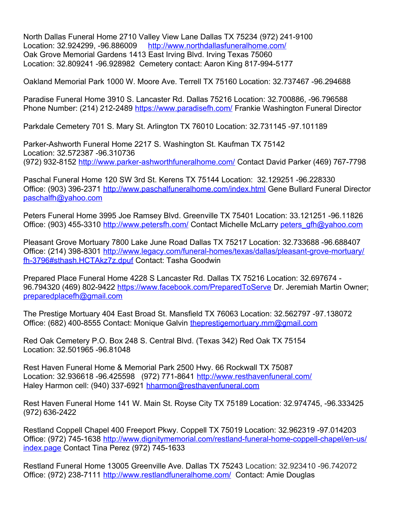North Dallas Funeral Home 2710 Valley View Lane Dallas TX 75234 (972) 241-9100 Location: 32.924299, -96.886009 <http://www.northdallasfuneralhome.com/> Oak Grove Memorial Gardens 1413 East Irving Blvd. Irving Texas 75060 Location: 32.809241 -96.928982 Cemetery contact: Aaron King 817-994-5177

Oakland Memorial Park 1000 W. Moore Ave. Terrell TX 75160 Location: 32.737467 -96.294688

Paradise Funeral Home 3910 S. Lancaster Rd. Dallas 75216 Location: 32.700886, -96.796588 Phone Number: (214) 212-2489 <https://www.paradisefh.com/>Frankie Washington Funeral Director

Parkdale Cemetery 701 S. Mary St. Arlington TX 76010 Location: 32.731145 -97.101189

Parker-Ashworth Funeral Home 2217 S. Washington St. Kaufman TX 75142 Location: 32.572387 -96.310736 (972) 932-8152<http://www.parker-ashworthfuneralhome.com/>Contact David Parker (469) 767-7798

Paschal Funeral Home 120 SW 3rd St. Kerens TX 75144 Location: 32.129251 -96.228330 Office: (903) 396-2371<http://www.paschalfuneralhome.com/index.html> Gene Bullard Funeral Director [paschalfh@yahoo.com](mailto:paschalfh@yahoo.com)

Peters Funeral Home 3995 Joe Ramsey Blvd. Greenville TX 75401 Location: 33.121251 -96.11826 Office: (903) 455-3310<http://www.petersfh.com/>Contact Michelle McLarry [peters\\_gfh@yahoo.com](mailto:peters_gfh@yahoo.com)

Pleasant Grove Mortuary 7800 Lake June Road Dallas TX 75217 Location: 32.733688 -96.688407 Office: (214) 398-8301 [http://www.legacy.com/funeral-homes/texas/dallas/pleasant-grove-mortuary/](http://www.legacy.com/funeral-homes/texas/dallas/pleasant-grove-mortuary/fh-3796#sthash.HCTAkz7z.dpuf) [fh-3796#sthash.HCTAkz7z.dpuf](http://www.legacy.com/funeral-homes/texas/dallas/pleasant-grove-mortuary/fh-3796#sthash.HCTAkz7z.dpuf) Contact: Tasha Goodwin

Prepared Place Funeral Home 4228 S Lancaster Rd. Dallas TX 75216 Location: 32.697674 96.794320 (469) 802-9422<https://www.facebook.com/PreparedToServe>Dr. Jeremiah Martin Owner; [preparedplacefh@gmail.com](mailto:preparedplacefh@gmail.com)

The Prestige Mortuary 404 East Broad St. Mansfield TX 76063 Location: 32.562797 -97.138072 Office: (682) 400-8555 Contact: Monique Galvin [theprestigemortuary.mm@gmail.com](mailto:theprestigemortuary.mm@gmail.com)

Red Oak Cemetery P.O. Box 248 S. Central Blvd. (Texas 342) Red Oak TX 75154 Location: 32.501965 -96.81048

Rest Haven Funeral Home & Memorial Park 2500 Hwy. 66 Rockwall TX 75087 Location: 32.936618 -96.425598 (972) 771-8641 <http://www.resthavenfuneral.com/> Haley Harmon cell: (940) 337-6921 [hharmon@resthavenfuneral.com](mailto:hharmon@resthavenfuneral.com)

Rest Haven Funeral Home 141 W. Main St. Royse City TX 75189 Location: 32.974745, -96.333425 (972) 636-2422

Restland Coppell Chapel 400 Freeport Pkwy. Coppell TX 75019 Location: 32.962319 -97.014203 Office: (972) 745-1638 [http://www.dignitymemorial.com/restland-funeral-home-coppell-chapel/en-us/](http://www.dignitymemorial.com/restland-funeral-home-coppell-chapel/en-us/index.page) [index.page](http://www.dignitymemorial.com/restland-funeral-home-coppell-chapel/en-us/index.page) Contact Tina Perez (972) 745-1633

Restland Funeral Home 13005 Greenville Ave. Dallas TX 75243 Location: 32.923410 -96.742072 Office: (972) 238-7111<http://www.restlandfuneralhome.com/>Contact: Amie Douglas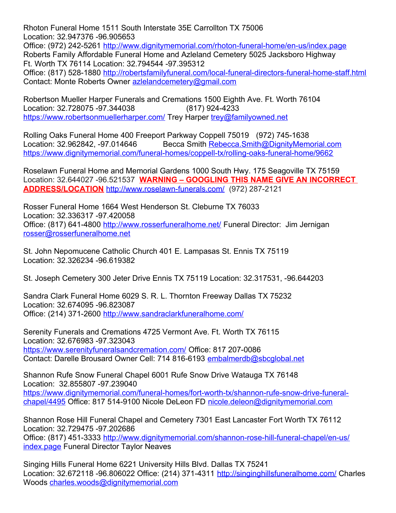Rhoton Funeral Home 1511 South Interstate 35E Carrollton TX 75006 Location: 32.947376 -96.905653 Office: (972) 242-5261<http://www.dignitymemorial.com/rhoton-funeral-home/en-us/index.page> Roberts Family Affordable Funeral Home and Azleland Cemetery 5025 Jacksboro Highway

Ft. Worth TX 76114 Location: 32.794544 -97.395312 Office: (817) 528-1880<http://robertsfamilyfuneral.com/local-funeral-directors-funeral-home-staff.html>

Contact: Monte Roberts Owner [azlelandcemetery@gmail.com](mailto:azlelandcemetery@gmail.com)

Robertson Mueller Harper Funerals and Cremations 1500 Eighth Ave. Ft. Worth 76104 Location: 32.728075 -97.344038 (817) 924-4233 <https://www.robertsonmuellerharper.com/>Trey Harper [trey@familyowned.net](mailto:trey@familyowned.net)

Rolling Oaks Funeral Home 400 Freeport Parkway Coppell 75019 (972) 745-1638 Location: 32.962842, -97.014646 Becca Smith [Rebecca.Smith@DignityMemorial.com](mailto:Rebecca.Smith@DignityMemorial.com) <https://www.dignitymemorial.com/funeral-homes/coppell-tx/rolling-oaks-funeral-home/9662>

Roselawn Funeral Home and Memorial Gardens 1000 South Hwy. 175 Seagoville TX 75159 Location: 32.644027 -96.521537 **WARNING – GOOGLING THIS NAME GIVE AN INCORRECT ADDRESS/LOCATION** <http://www.roselawn-funerals.com/> (972) 287-2121

Rosser Funeral Home 1664 West Henderson St. Cleburne TX 76033 Location: 32.336317 -97.420058 Office: (817) 641-4800<http://www.rosserfuneralhome.net/> Funeral Director: Jim Jernigan [rosser@rosserfuneralhome.net](mailto:rosser@rosserfuneralhome.net)

St. John Nepomucene Catholic Church 401 E. Lampasas St. Ennis TX 75119 Location: 32.326234 -96.619382

St. Joseph Cemetery 300 Jeter Drive Ennis TX 75119 Location: 32.317531, -96.644203

Sandra Clark Funeral Home 6029 S. R. L. Thornton Freeway Dallas TX 75232 Location: 32.674095 -96.823087 Office: (214) 371-2600<http://www.sandraclarkfuneralhome.com/>

Serenity Funerals and Cremations 4725 Vermont Ave. Ft. Worth TX 76115 Location: 32.676983 -97.323043 <https://www.serenityfuneralsandcremation.com/> Office: 817 207-0086 Contact: Darelle Brousard Owner Cell: 714 816-6193 [embalmerdb@sbcglobal.net](mailto:embalmerdb@sbcglobal.net)

Shannon Rufe Snow Funeral Chapel 6001 Rufe Snow Drive Watauga TX 76148 Location: 32.855807 -97.239040 [https://www.dignitymemorial.com/funeral-homes/fort-worth-tx/shannon-rufe-snow-drive-funeral](https://www.dignitymemorial.com/funeral-homes/fort-worth-tx/shannon-rufe-snow-drive-funeral-chapel/4495)[chapel/4495](https://www.dignitymemorial.com/funeral-homes/fort-worth-tx/shannon-rufe-snow-drive-funeral-chapel/4495) Office: 817 514-9100 Nicole DeLeon FD [nicole.deleon@dignitymemorial.com](mailto:nicole.deleon@dignitymemorial.com)

Shannon Rose Hill Funeral Chapel and Cemetery 7301 East Lancaster Fort Worth TX 76112 Location: 32.729475 -97.202686 Office: (817) 451-3333 [http://www.dignitymemorial.com/shannon-rose-hill-funeral-chapel/en-us/](http://www.dignitymemorial.com/shannon-rose-hill-funeral-chapel/en-us/index.page) [index.page](http://www.dignitymemorial.com/shannon-rose-hill-funeral-chapel/en-us/index.page) Funeral Director Taylor Neaves

Singing Hills Funeral Home 6221 University Hills Blvd. Dallas TX 75241 Location: 32.672118 -96.806022 Office: (214) 371-4311 <http://singinghillsfuneralhome.com/> Charles Woods [charles.woods@dignitymemorial.com](mailto:charles.woods@dignitymemorial.com)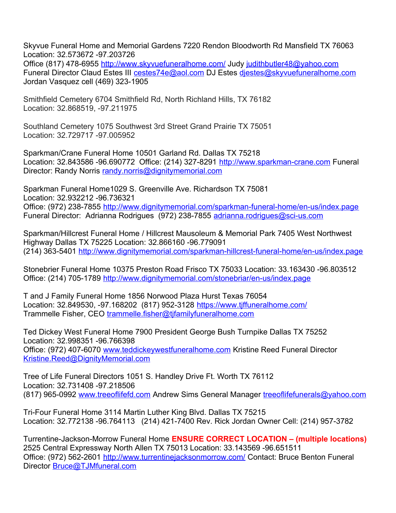Skyvue Funeral Home and Memorial Gardens 7220 Rendon Bloodworth Rd Mansfield TX 76063 Location: 32.573672 -97.203726

Office (817) 478-6955<http://www.skyvuefuneralhome.com/> Judy [judithbutler48@yahoo.com](mailto:judithbutler48@yahoo.com) Funeral Director Claud Estes III [cestes74e@aol.com](mailto:cestes74e@aol.com) DJ Estes [djestes@skyvuefuneralhome.com](mailto:djestes@skyvuefuneralhome.com) Jordan Vasquez cell (469) 323-1905

Smithfield Cemetery 6704 Smithfield Rd, North Richland Hills, TX 76182 Location: 32.868519, -97.211975

Southland Cemetery 1075 Southwest 3rd Street Grand Prairie TX 75051 Location: 32.729717 -97.005952

Sparkman/Crane Funeral Home 10501 Garland Rd. Dallas TX 75218 Location: 32.843586 -96.690772 Office: (214) 327-8291 [http://www.sparkman-crane.com](http://www.sparkman-crane.com/) Funeral Director: Randy Norris [randy.norris@dignitymemorial.com](mailto:randy.norris@dignitymemorial.com)

Sparkman Funeral Home1029 S. Greenville Ave. Richardson TX 75081 Location: 32.932212 -96.736321 Office: (972) 238-7855<http://www.dignitymemorial.com/sparkman-funeral-home/en-us/index.page> Funeral Director: Adrianna Rodrigues (972) 238-7855 [adrianna.rodrigues@sci-us.com](mailto:adrianna.rodrigues@sci-us.com)

Sparkman/Hillcrest Funeral Home / Hillcrest Mausoleum & Memorial Park 7405 West Northwest Highway Dallas TX 75225 Location: 32.866160 -96.779091 (214) 363-5401<http://www.dignitymemorial.com/sparkman-hillcrest-funeral-home/en-us/index.page>

Stonebrier Funeral Home 10375 Preston Road Frisco TX 75033 Location: 33.163430 -96.803512 Office: (214) 705-1789<http://www.dignitymemorial.com/stonebriar/en-us/index.page>

T and J Family Funeral Home 1856 Norwood Plaza Hurst Texas 76054 Location: 32.849530, -97.168202 (817) 952-3128 <https://www.tjffuneralhome.com/> Trammelle Fisher, CEO [trammelle.fisher@tjfamilyfuneralhome.com](mailto:trammelle.fisher@tjfamilyfuneralhome.com)

Ted Dickey West Funeral Home 7900 President George Bush Turnpike Dallas TX 75252 Location: 32.998351 -96.766398 Office: (972) 407-6070 [www.teddickeywestfuneralhome.com](http://www.teddickeywestfuneralhome.com/) Kristine Reed Funeral Director [Kristine.Reed@DignityMemorial.com](mailto:Kristine.Reed@DignityMemorial.com)

Tree of Life Funeral Directors 1051 S. Handley Drive Ft. Worth TX 76112 Location: 32.731408 -97.218506 (817) 965-0992 [www.treeoflifefd.com](http://www.treeoflifefd.com/) Andrew Sims General Manager [treeoflifefunerals@yahoo.com](mailto:treeoflifefunerals@yahoo.com)

Tri-Four Funeral Home 3114 Martin Luther King Blvd. Dallas TX 75215 Location: 32.772138 -96.764113 (214) 421-7400 Rev. Rick Jordan Owner Cell: (214) 957-3782

Turrentine-Jackson-Morrow Funeral Home **ENSURE CORRECT LOCATION – (multiple locations)** 2525 Central Expressway North Allen TX 75013 Location: 33.143569 -96.651511 Office: (972) 562-2601<http://www.turrentinejacksonmorrow.com/>Contact: Bruce Benton Funeral Director **Bruce@TJMfuneral.com**